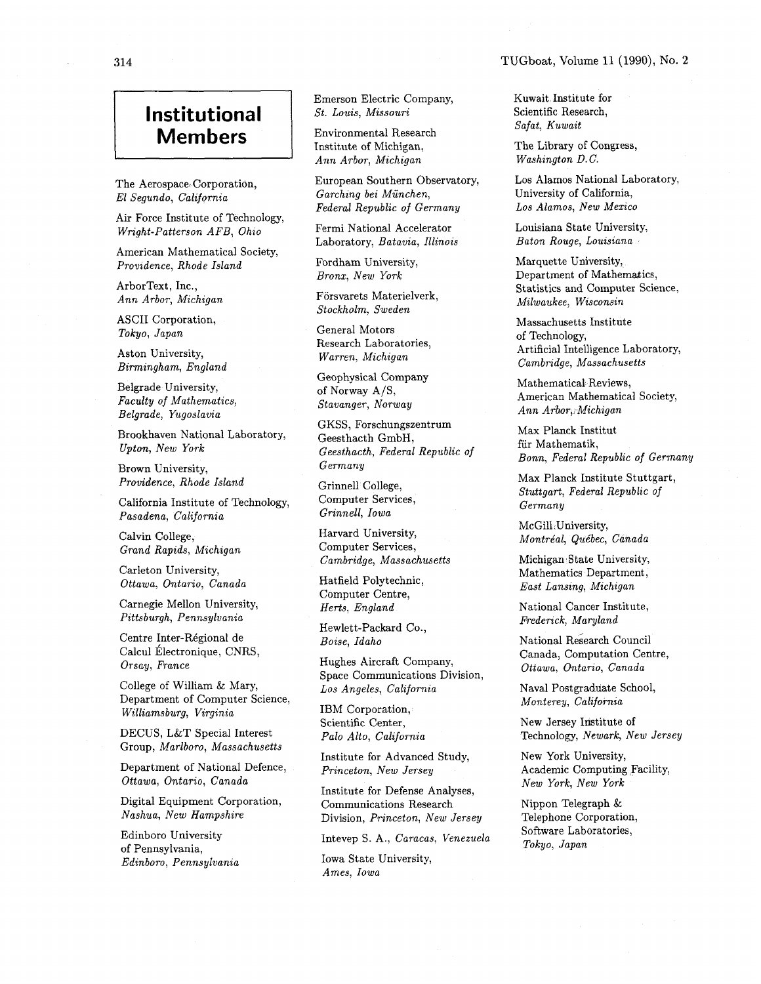## **Institutional Members**

The Aerospace Corporation, El Segundo, California

Air Force Institute of Technology, Wright-Patterson AFB, Ohio

American Mathematical Society, Providence, Rhode Island

ArborText, Inc., Ann Arbor, Michigan

ASCII Corporation, Tokyo, Japan

Aston University, Birmingham, England

Belgrade University, Faculty of Mathematics, Belgrade, Yugoslavia

Brookhaven National Laboratory, Upton, New York

Brown University, Providence, Rhode Island

California Institute of Technology, Pasadena, California

Calvin College, Grand Rapids, Michigan

Carleton University, Ottawa, Ontario, Canada

Carnegie Mellon University, Pittsburgh, Pennsylvania

Centre Inter-Régional de Calcul Électronique, CNRS, Orsay, France

College of William & Mary, Department of Computer Science, Williamsburg, Virginia

DECUS, L&T Special Interest Group, Marlboro, Massachusetts

Department of National Defence, Ottawa, Ontario, Canada

Digital Equipment Corporation, Nashua, New Hampshire

Edinboro University of Pennsylvania, Edinboro, Pennsylvania Emerson Electric Company, St. Louis, Missouri

Environmental Research Institute of Michigan, Ann Arbor, Michigan

European Southern Observatory, Garching bei München, Federal Republic of Germany

Fermi National Accelerator Laboratory, Batavia, Illinois

Fordham University, Bronx, New York

Försvarets Materielverk, Stockholm, Sweden

General Motors Research Laboratories, Warren, Michigan

Geophysical Company of Norway A/S, Stavanger, Norway

GKSS, Forschungszentrum Geesthacth GmbH, Geesthacth, Federal Republic of Germany

Grinnell College, Computer Services, Grinnell, Iowa

Harvard University, Computer Services, Cambridge, Massachusetts

Hatfield Polytechnic, Computer Centre, Herts, England

Hewlett-Packard Co., Boise, Idaho

Hughes Aircraft Company, Space Communications Division, Los Angeles, California

IBM Corporation, Scientific Center, Palo Alto, California

Institute for Advanced Study, Princeton, New Jersey

Institute for Defense Analyses, Communications Research Division, Princeton, New Jersey

Iowa State University, Ames, Iowa

Kuwait, Institute for Scientific Research, Safat, Kuwait

The Library of Congress, Washington D.C.

Los Alamos National Laboratory, University of California, Los Alamos, New Mexico

Louisiana State University, Baton Rouge, Louisiana

Marquette University, Department of Mathematics, Statistics and Computer Science, Milwaukee, Wisconsin

Massachusetts Institute of Technology, Artificial Intelligence Laboratory, Cambridge, Massachusetts

Mathematical Reviews, American Mathematical Society, Ann Arbor, Michigan

Max Planck Institut fiir Mathematik, Bonn, Federal Republic of Germany

Max Planck Institute Stuttgart, Stuttgart, Federal Republic of Germany

McGill University, Montréal, Québec, Canada

Michigan State University, Mathematics Department, East Lansing, Michigan

National Cancer Institute, Frederick, Maryland

National Research Council Canada, Computation Centre, Ottawa, Ontario, Canada

Naval Postgraduate School, Monterey, California

New Jersey Institute of Technology, Newark, New Jersey

New York University, Academic Computing Facility, New York, New York

Nippon Telegraph & Telephone Corporation, Intevep S. A., Caracas, Venezuela Software Laboratories,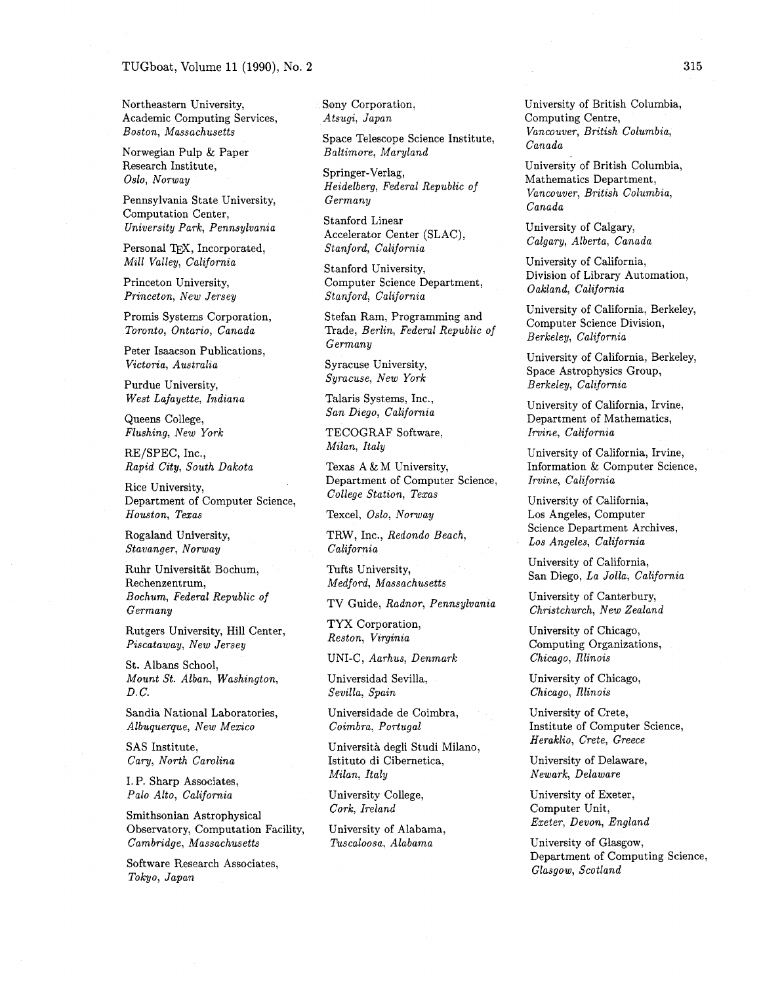Northeastern University, Academic Computing Services, Boston, Massachusetts

Norwegian Pulp & Paper Research Institute, Oslo, Norway

Pennsylvania State University, Computation Center, University Park, Pennsylvania

Personal TFX, Incorporated, Mill Valley, California

Princeton University, Princeton, New Jersey

Promis Systems Corporation, Toronto, Ontario, Canada

Peter Isaacson Publications, Victoria, Australia

Purdue University, West Lafayette, Indiana

Queens College, Flushing, New York

RE/SPEC, Inc., Rapid City, South Dakota

Rice University, Department of Computer Science, Houston, Texas

Rogaland University, Stavanger, Norway

Ruhr Universitat Bochum, Rechenzentrum, Bochum, Federal Republic of Germany

Rutgers University, Hill Center, Piscataway, New Jersey

St. Albans School, Mount St. Alban, Washington, D. C.

Sandia National Laboratories, Albuquerque, New Mexico

SAS Institute, Cary, North Carolina

I. P. Sharp Associates, Palo Alto, California

Smithsonian Astrophysical Observatory, Computation Facility, Cambridge, Massachusetts

Software Research Associates, Tokyo, Japan

Sony Corporation, Atsugi, Japan

Space Telescope Science Institute, Baltimore, Maryland

Springer-Verlag, Heidelberg, Federal Republic of Germany

Stanford Linear Accelerator Center (SLAC), Stanford, California

Stanford University, Computer Science Department, Stanford, California

Stefan Ram, Programming and Trade, Berlin, Federal Republic of Germany

Syracuse University, Syracuse, New York

Talaris Systems, Inc., San Diego, California

TECOGRAF Software, Milan, Italy

Texas A & M University, Department of Computer Science, College Station, Texas

Texcel, Oslo, Norway

TRW, Inc., Redondo Beach, California

Tufts University, Medford, Massachusetts

TV Guide, Radnor, Pennsylvania

TYX Corporation, Reston, Virginia

UNI-C, Aarhus, Denmark

Universidad Sevilla, Sevilla, Spain

Universidade de Coimbra, Coimbra, Portugal

Universita degli Studi Milano, Istituto di Cibernetica, Milan, Italy

University College, Cork, Ireland

University of Alabama, Tuscaloosa, Alabama

University of British Columbia, Computing Centre, Vancouver, British Columbia, Canada

University of British Columbia, Mathematics Department, Vancouver, British Columbia, Canada

University of Calgary, Calgary, Alberta, Canada

University of California, Division of Library Automation, Oakland, California

University of California, Berkeley, Computer Science Division, Berkeley, California

University of California, Berkeley, Space Astrophysics Group, Berkeley, California

University of California, Irvine, Department of Mathematics, Irvine, California

University of California, Irvine, Information & Computer Science, Irvine, California

University of California, Los Angeles, Computer Science Department Archives, Los Angeles, California

University of California, San Diego, La Jolla, California

University of Canterbury, Christchurch, New Zealand

University of Chicago, Computing Organizations, Chicago, Illinois

University of Chicago, Chicago, Illinois

University of Crete, Institute of Computer Science, Heraklio, Crete, Greece

University of Delaware, Newark, Delaware

University of Exeter, Computer Unit, Exeter, Devon, England

University of Glasgow, Department of Computing Science, Glasgow, Scotland